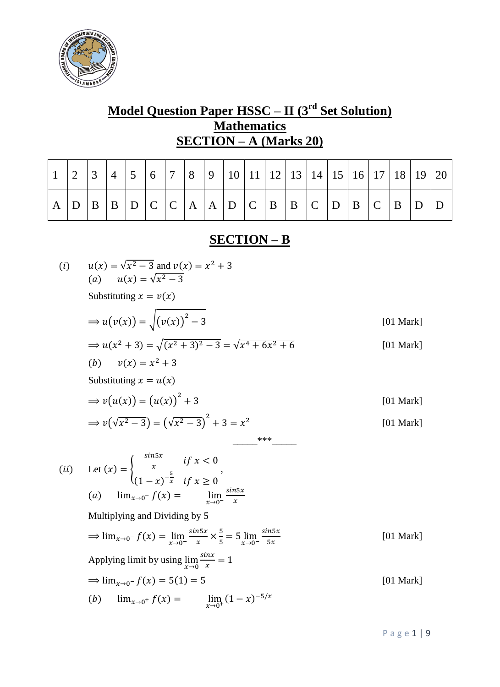

# **Model Question Paper HSSC – II (3rd Set Solution) Mathematics SECTION – A (Marks 20)**

|   |              | $\vert 3 \vert$ | $\overline{4}$ | $\vert 5 \vert$ | $6 \mid 7 \mid 8$ |  |  |  |             |  |  |       |  |
|---|--------------|-----------------|----------------|-----------------|-------------------|--|--|--|-------------|--|--|-------|--|
| A | $\mathsf{D}$ |                 |                |                 |                   |  |  |  | B B C D B C |  |  | B D D |  |

## **SECTION – B**

(i) 
$$
u(x) = \sqrt{x^2 - 3}
$$
 and  $v(x) = x^2 + 3$   
\n(a)  $u(x) = \sqrt{x^2 - 3}$   
\nSubstituting  $x = v(x)$   
\n⇒  $u(v(x)) = \sqrt{(v(x))^2 - 3}$  [01 Mark]  
\n⇒  $u(x^2 + 3) = \sqrt{(x^2 + 3)^2 - 3} = \sqrt{x^4 + 6x^2 + 6}$  [01 Mark]  
\n(b)  $v(x) = x^2 + 3$   
\nSubstituting  $x = u(x)$   
\n⇒  $v(u(x)) = (u(x))^2 + 3$  [01 Mark]  
\n⇒  $v(\sqrt{x^2 - 3}) = (\sqrt{x^2 - 3})^2 + 3 = x^2$  [01 Mark]  
\n(i) Let  $(x) = \begin{cases} \frac{\sin 5x}{x} & \text{if } x < 0 \\ (1 - x)^{-\frac{5}{x}} & \text{if } x \ge 0 \end{cases}$   
\n(a)  $\lim_{x \to 0^-} f(x) = \lim_{x \to 0} \frac{\sin 5x}{x}$   
\nMultiplying and Dividing by 5  
\n⇒  $\lim_{x \to 0^-} f(x) = \lim_{x \to 0} \frac{\sin x}{x} \times \frac{5}{5} = 5 \lim_{x \to 0^-} \frac{\sin 5x}{5x}$  [01 Mark]  
\nApplying limit by using  $\lim_{x \to 0^+} \frac{\sin x}{x} = 1$   
\n⇒  $\lim_{x \to 0^-} f(x) = 5(1) = 5$  [01 Mark]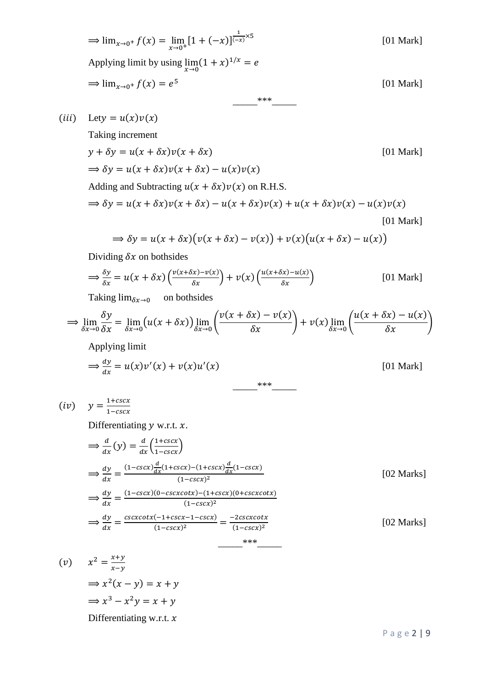$$
\Rightarrow \lim_{x \to 0^+} f(x) = \lim_{x \to 0^+} [1 + (-x)]^{\frac{1}{(-x)} \times 5}
$$
 [01 Mark]  
Applying limit by using  $\lim_{x \to 0} (1 + x)^{1/x} = e$   

$$
\Rightarrow \lim_{x \to 0^+} f(x) = e^5
$$
 [01 Mark]

(*iii*) Lety =  $u(x)v(x)$ 

Taking increment

 $y + \delta y = u(x + \delta x)v(x + \delta x)$  [01 Mark]  $\Rightarrow$   $\delta y = u(x + \delta x)v(x + \delta x) - u(x)v(x)$ Adding and Subtracting  $u(x + \delta x)v(x)$  on R.H.S.  $\Rightarrow \delta y = u(x + \delta x)v(x + \delta x) - u(x + \delta x)v(x) + u(x + \delta x)v(x) - u(x)v(x)$ 

$$
\Rightarrow \delta y = u(x + \delta x)(v(x + \delta x) - v(x)) + v(x)(u(x + \delta x) - u(x))
$$
\n
$$
(01 \text{ Mark})
$$

$$
\Rightarrow \delta y = u(x + \delta x)(v(x + \delta x) - v(x)) + v(x)(u(x + \delta x))
$$

Dividing  $\delta x$  on bothsides

$$
\Rightarrow \frac{\delta y}{\delta x} = u(x + \delta x) \left( \frac{v(x + \delta x) - v(x)}{\delta x} \right) + v(x) \left( \frac{u(x + \delta x) - u(x)}{\delta x} \right)
$$
 [01 Mark]

Taking  $\lim_{\delta x \to 0}$  on bothsides

$$
\Rightarrow \lim_{\delta x \to 0} \frac{\delta y}{\delta x} = \lim_{\delta x \to 0} (u(x + \delta x)) \lim_{\delta x \to 0} \left( \frac{v(x + \delta x) - v(x)}{\delta x} \right) + v(x) \lim_{\delta x \to 0} \left( \frac{u(x + \delta x) - u(x)}{\delta x} \right)
$$
\nApplying limit

$$
\Rightarrow \frac{dy}{dx} = u(x)v'(x) + v(x)u'(x)
$$
\n[01 Mark]

$$
(iv) \quad y = \frac{1 + cscx}{1 - cscx}
$$

Differentiating  $y$  w.r.t.  $x$ .

$$
\Rightarrow \frac{d}{dx}(y) = \frac{d}{dx} \left( \frac{1+cscx}{1-cscx} \right)
$$
\n
$$
\Rightarrow \frac{dy}{dx} = \frac{(1-cscx)\frac{d}{dx}(1+cscx) - (1+cscx)\frac{d}{dx}(1-cscx)}{(1-cscx)^2}
$$
\n
$$
\Rightarrow \frac{dy}{dx} = \frac{(1-cscx)(0-cscxcotx) - (1+cscx)(0+csexcotx)}{(1-cscx)^2}
$$
\n
$$
\Rightarrow \frac{dy}{dx} = \frac{cscxcotx(-1+cscx - 1-cscx)}{(1-cscx)^2} = \frac{-2csexcotx}{(1-cscx)^2}
$$
\n[02 Marks]

$$
(v) \quad x^2 = \frac{x+y}{x-y}
$$
\n
$$
\Rightarrow x^2(x-y) = x+y
$$
\n
$$
\Rightarrow x^3 - x^2y = x+y
$$
\nDifferentiating w.r.t. x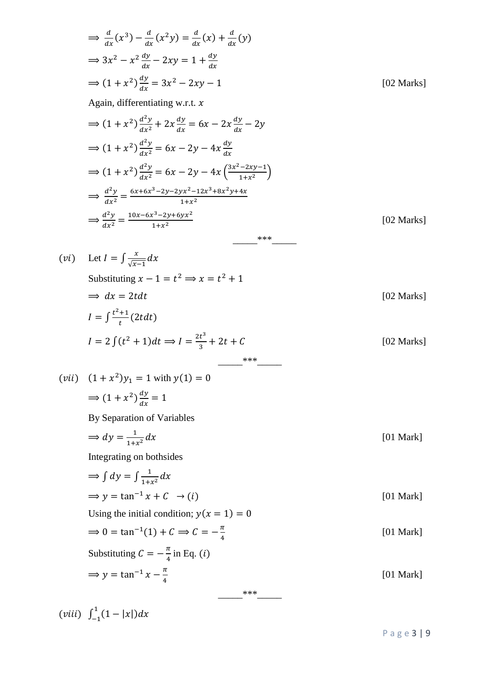$$
\frac{d}{dx}(x^3) - \frac{d}{dx}(x^2y) = \frac{d}{dx}(x) + \frac{d}{dx}(y)
$$
  
\n
$$
\Rightarrow 3x^2 - x^2 \frac{dy}{dx} - 2xy = 1 + \frac{dy}{dx}
$$
  
\n
$$
\Rightarrow (1 + x^2) \frac{dy}{dx} = 3x^2 - 2xy - 1
$$
  
\nAgain, differentiating w.r.t.  $x$   
\n
$$
\Rightarrow (1 + x^2) \frac{d^2y}{dx^2} = 6x - 2x \frac{dy}{dx} - 2y
$$
  
\n
$$
\Rightarrow (1 + x^2) \frac{d^2y}{dx^2} = 6x - 2y - 4x \frac{dy}{dx}
$$
  
\n
$$
\Rightarrow (1 + x^2) \frac{d^2y}{dx^2} = 6x - 2y - 4x \frac{dy}{dx} - 2y
$$
  
\n
$$
\Rightarrow \frac{d^2y}{dx^2} = \frac{6x + 6x^3 - 2y - 2yx^2 - 12x^2 + 8x^2y + 4x}{1 + x^2}
$$
  
\n
$$
\Rightarrow \frac{d^2y}{dx^2} = \frac{10x - 6x^2 - 2y + 4x}{1 + x^2}
$$
  
\n
$$
\Rightarrow \frac{d^2y}{dx^2} = \frac{10x - 6x^2 - 2y + 2x^2 + 12x^2 + 4x^2y + 4x}{1 + x^2}
$$
  
\n(vi) Let  $I = \int \frac{x}{\sqrt{x-1}} dx$   
\nSubstituting  $x - 1 = t^2 \Rightarrow x = t^2 + 1$   
\n
$$
\Rightarrow dx = 2t dt
$$
  
\n $I = 2 \int (t^2 + 1) dt \Rightarrow I = \frac{2t^3}{3} + 2t + C$   
\n $I = 2 \int (t^2 + 1) dt \Rightarrow I = \frac{2t^3}{3} + 2t + C$   
\n $I = 2 \int (t^2 + 1) dt \Rightarrow I = \frac{2t^3}{3} + 2t + C$   
\n $I = 2 \int (t^2 + 1) dt \Rightarrow I = \frac{2t^3}{3} + 2t + C$   
\n $I = 2 \int (t^2 +$ 

 $(viii) \int_{-1}^{1} (1 - |x|)$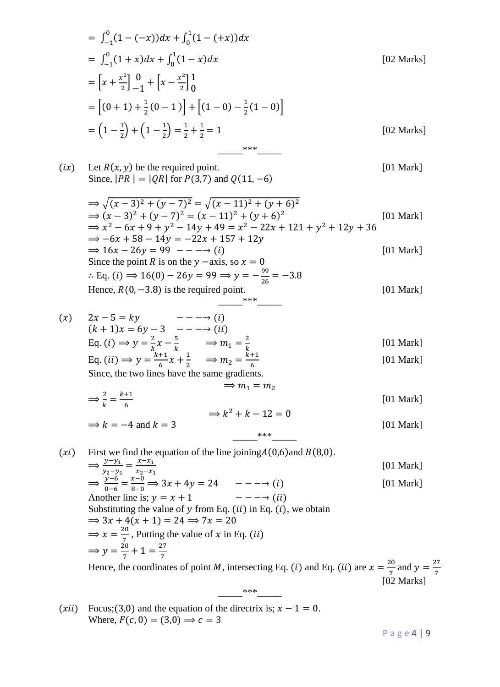$$
= \int_{-1}^{0} (1 - (-x))dx + \int_{0}^{1} (1 - (+x))dx
$$
  
\n
$$
= \int_{-1}^{0} (1 + x)dx + \int_{0}^{1} (1 - x)dx
$$
 [02 Marks]  
\n
$$
= [x + \frac{x^{2}}{2}] \frac{0}{-1} + [x - \frac{x^{2}}{2}] \frac{1}{0}
$$
  
\n
$$
= [(0 + 1) + \frac{1}{2}(0 - 1)] + [(1 - 0) - \frac{1}{2}(1 - 0)]
$$
  
\n
$$
= (1 - \frac{1}{2}) + (1 - \frac{1}{2}) = \frac{1}{2} + \frac{1}{2} = 1
$$
 [02 Marks]

$$
(ix) \text{ Let } R(x, y) \text{ be the required point.} \qquad [01 \text{ Mark}]
$$
\n
$$
\text{Since, } |PR| = |QR| \text{ for } P(3,7) \text{ and } Q(11, -6)
$$
\n
$$
\Rightarrow \sqrt{(x-3)^2 + (y-7)^2} = \sqrt{(x-11)^2 + (y+6)^2}
$$
\n
$$
\Rightarrow (x-3)^2 + (y-7)^2 = (x-11)^2 + (y+6)^2
$$
\n
$$
\Rightarrow x^2 - 6x + 9 + y^2 - 14y + 49 = x^2 - 22x + 121 + y^2 + 12y + 36
$$
\n
$$
\Rightarrow -6x + 58 - 14y = -22x + 157 + 12y
$$
\n
$$
\Rightarrow 16x - 26y = 99 - - \rightarrow (i) \qquad [01 \text{ Mark}]
$$
\n
$$
\text{Since the point } R \text{ is on the } y \text{ -axis, so } x = 0
$$
\n
$$
\therefore \text{ Eq. } (i) \Rightarrow 16(0) - 26y = 99 \Rightarrow y = -\frac{99}{26} = -3.8
$$
\n
$$
\text{Hence, } R(0, -3.8) \text{ is the required point.} \qquad [01 \text{ Mark}]
$$

$$
(x) \quad 2x - 5 = ky \quad --- \rightarrow (i)
$$
\n
$$
(k+1)x = 6y - 3 \quad --- \rightarrow (ii)
$$
\n
$$
Eq. (i) \Rightarrow y = \frac{2}{k}x - \frac{5}{k} \quad \Rightarrow m_1 = \frac{2}{k}
$$
\n
$$
Eq. (ii) \Rightarrow y = \frac{k+1}{6}x + \frac{1}{2} \quad \Rightarrow m_2 = \frac{k+1}{6}
$$
\n
$$
(01 \text{ Mark})
$$
\n
$$
(01 \text{ Mark})
$$

Since, the two lines have the same gradients.

$$
\Rightarrow \frac{2}{k} = \frac{k+1}{6}
$$
  
\n
$$
\Rightarrow k = -4 \text{ and } k = 3
$$
  
\n
$$
\Rightarrow k^2 + k - 12 = 0
$$
  
\n[01 Mark]

 $***$ 

(xi) First we find the equation of the line joining  $A(0,6)$  and  $B(8,0)$ .  $\Rightarrow \frac{y}{y}$  $\frac{y-y_1}{y_2-y_1}=\frac{x}{x_2}$  $\mathcal{X}$ [01 Mark]  $\Rightarrow \frac{y}{2}$  $\frac{y-6}{0-6} = \frac{x}{8}$  $\frac{x-0}{8-0} \Rightarrow 3x + 4y = 24$   $--- \rightarrow (i)$  [01 Mark] Another line is; Substituting the value of y from Eq.  $(ii)$  in Eq.  $(i)$ , we obtain  $\Rightarrow$  3x + 4(x + 1) = 24  $\Rightarrow$  7x = 20  $\Rightarrow$  x =  $\frac{2}{7}$  $\frac{10}{7}$ , Putting the value of x in Eq.  $\Rightarrow y = \frac{2}{7}$  $\frac{20}{7} + 1 = \frac{2}{7}$ 7 Hence, the coordinates of point M, intersecting Eq. (*i*) and Eq. (*ii*) are  $x = \frac{2}{5}$  $\frac{20}{7}$  and  $y = \frac{2}{7}$ [02 Marks]

 $***$ 

(*xii*) Focus; (3,0) and the equation of the directrix is;  $x - 1 = 0$ . Where,  $F(c, 0) = (3,0) \Rightarrow c = 3$ 

P a g e 4 | 9

7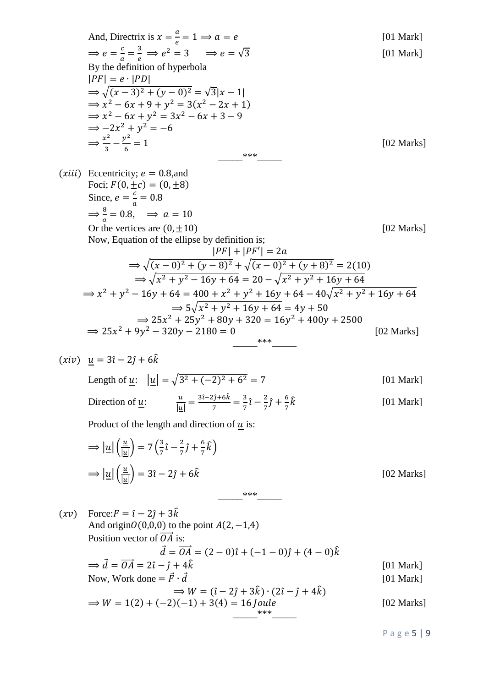And, Directrix is 
$$
x = \frac{a}{e} = 1 \Rightarrow a = e
$$
  
\n $\Rightarrow e = \frac{c}{a} = \frac{3}{e} \Rightarrow e^2 = 3 \Rightarrow e = \sqrt{3}$   
\nBy the definition of hyperbola  
\n $|PF| = e \cdot |PD|$   
\n $\Rightarrow \sqrt{(x-3)^2 + (y-0)^2} = \sqrt{3}|x-1|$   
\n $\Rightarrow x^2 - 6x + 9 + y^2 = 3(x^2 - 2x + 1)$   
\n $\Rightarrow x^2 - 6x + y^2 = 3x^2 - 6x + 3 - 9$   
\n $\Rightarrow -2x^2 + y^2 = -6$   
\n $\Rightarrow \frac{x^2}{3} - \frac{y^2}{6} = 1$   
\n $\Rightarrow x^2 - 6x + y^2 = 3x^2 - 6x + 3 - 9$   
\n $\Rightarrow -2x^2 + y^2 = -6$   
\n $\Rightarrow \frac{x^2}{3} - \frac{y^2}{6} = 1$   
\n $\Rightarrow \frac{x}{a} = 0$ .  
\n $\Rightarrow \frac{a}{a} = 0.8$ ,  $\Rightarrow a = 10$   
\nOr the vertices are (0, ±10)  
\nNow, Equation of the ellipse by definition is;  
\n
$$
|PF| + |PF'| = 2a
$$
  
\n $\Rightarrow \sqrt{(x-0)^2 + (y-8)^2} + \sqrt{(x-0)^2 + (y+8)^2} = 2(10)$   
\n $\Rightarrow \sqrt{x^2 + y^2 - 16y + 64} = 20 - \sqrt{x^2 + y^2 + 16y + 64}$   
\n $\Rightarrow x^2 + y^2 - 16y + 64 = 400 + x^2 + y^2 + 16y + 64 - 40\sqrt{x^2 + y^2 + 16y + 64}$   
\n $\Rightarrow 25x^2 + 9y^2 - 320y - 2180 = 0$   
\n $\Rightarrow 25x^2 + 9y^2 - 320y - 2180 = 0$   
\n $\Rightarrow 25x^2 + 9y^2 - 320y - 2180 = 0$   
\n $\Rightarrow 25x^2 + 9y^2 - 320y -$ 

$$
\Rightarrow |\underline{u}| \left(\frac{\underline{u}}{|\underline{u}|}\right) = 7 \left(\frac{3}{7} \hat{i} - \frac{2}{7} \hat{j} + \frac{6}{7} \hat{k}\right)
$$
  

$$
\Rightarrow |\underline{u}| \left(\frac{\underline{u}}{|\underline{u}|}\right) = 3\hat{i} - 2\hat{j} + 6\hat{k}
$$
 [02 Marks]

 $(xv)$  Force:  $F = \hat{i} - 2\hat{j} + 3\hat{k}$ And origin  $O(0,0,0)$  to the point  $A(2, -1,4)$ Position vector of  $\overrightarrow{OA}$  is:  $\vec{d} = \vec{OA} = (2 - 0)\hat{i} + (-1 - 0)\hat{j} + (4 - 0)\hat{k}$  $\Rightarrow \vec{d} = \vec{OA} = 2\hat{i} - \hat{j} + 4\hat{k}$  [01 Mark] Now, Work done =  $\vec{F} \cdot \vec{d}$  [01 Mark]  $\Rightarrow$   $W = (\hat{i} - 2\hat{j} + 3\hat{k}) \cdot (2\hat{i} - \hat{j} + 4\hat{k})$  $\Rightarrow$   $W = 1(2) + (-2)(-1) + 3(4) = 16$  *Joule* [02 Marks] \_\_\_\_\_\*\*\*\_\_\_\_\_

P a g e 5 | 9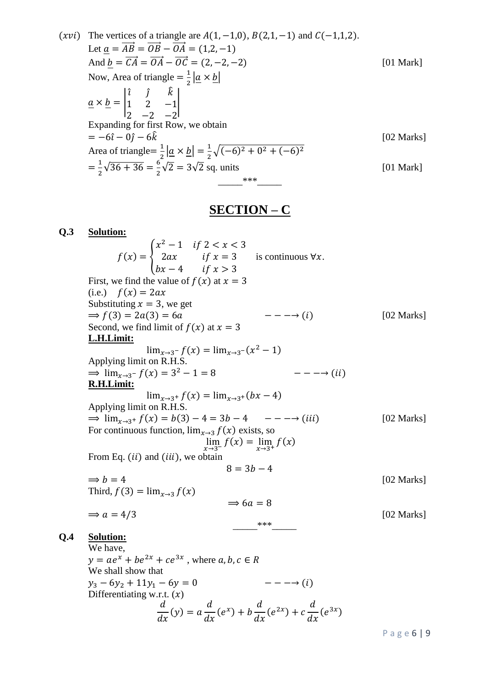(xvi) The vertices of a triangle are 
$$
A(1, -1, 0)
$$
,  $B(2, 1, -1)$  and  $C(-1, 1, 2)$ .  
\nLet  $\underline{a} = \overrightarrow{AB} = \overrightarrow{OB} - \overrightarrow{OA} = (1, 2, -1)$   
\nAnd  $\underline{b} = \overrightarrow{CA} = \overrightarrow{OA} - \overrightarrow{OC} = (2, -2, -2)$  [01 Mark]  
\nNow, Area of triangle  $= \frac{1}{2} |\underline{a} \times \underline{b}|$   
\n $\underline{a} \times \underline{b} = \begin{vmatrix} \hat{i} & \hat{j} & \hat{k} \\ 1 & 2 & -1 \\ 2 & -2 & -2 \end{vmatrix}$   
\nExpanding for first Row, we obtain  
\n $= -6\hat{i} - 0\hat{j} - 6\hat{k}$  [02 Marks]  
\nArea of triangle  $= \frac{1}{2} |\underline{a} \times \underline{b}| = \frac{1}{2} \sqrt{(-6)^2 + 0^2 + (-6)^2}$   
\n $= \frac{1}{2} \sqrt{36 + 36} = \frac{6}{2} \sqrt{2} = 3\sqrt{2}$  sq. units [01 Mark]

### **SECTION – C**

#### **Q.3 Solution:**  $x^2$ is continuous  $\forall x$ .  $f(x) = \langle$  $\overline{\mathbf{c}}$  $\boldsymbol{b}$ First, we find the value of  $f(x)$  at  $x = 3$ (i.e.)  $f(x) = 2ax$ Substituting  $x = 3$ , we get  $\Rightarrow$   $f(3) = 2a(3) = 6a$   $---(i)$  [02 Marks] Second, we find limit of  $f(x)$  at  $x = 3$ **L.H.Limit:**  $\lim_{x\to 3^-} f(x) = \lim_{x\to 3^-} (x^2)$ Applying limit on R.H.S.  $---(ii)$  $\Rightarrow$  lim<sub>x→3</sub>- $f(x) = 3^2$ **R.H.Limit:**  $\lim_{x\to 3^+} f(x) = \lim_{x\to 3^+}$ Applying limit on R.H.S.  $\Rightarrow \lim_{x \to 3^+} f(x) = b(3) - 4 = 3b - 4 \quad - - \rightarrow (iii)$  [02 Marks] For continuous function,  $\lim_{x\to 3} f(x)$  exists, so  $\lim_{x \to a} f(x) = \lim_{x \to a} f(x)$ From Eq.  $(ii)$  and  $(iii)$ , we obtain  $8 = 3b - 4$  $\Rightarrow b = 4$  [02 Marks] Third,  $f(3) = \lim_{x\to 3} f(x)$  $\Rightarrow$  6a = 8  $\Rightarrow a = 4/3$  [02 Marks] \_\_\_\_\_\*\*\*\_\_\_\_\_ **Q.4 Solution:** We have,  $y = ae^{x} + be^{2x} + ce^{3x}$ , where We shall show that

$$
y_3 - 6y_2 + 11y_1 - 6y = 0
$$
  
Differentiating w.r.t. (x)  

$$
\frac{d}{dx}(y) = a\frac{d}{dx}(e^x) + b\frac{d}{dx}(e^{2x}) + c\frac{d}{dx}(e^{3x})
$$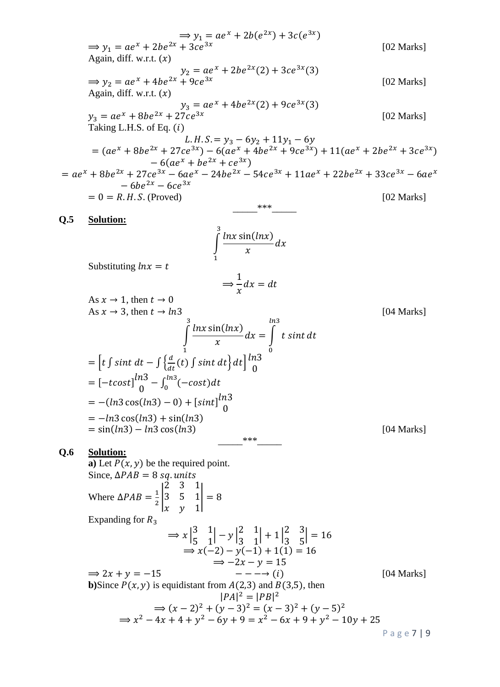$$
\Rightarrow y_1 = ae^x + 2be^{2x} + 2be^{2x} + 3ce^{2x}
$$
\n(02 Marks)  
\nAgain, diff. w.r.t. (x)  
\n
$$
\Rightarrow y_2 = ae^x + 4be^{2x} + 2be^{2x}(2) + 3ce^{3x}(3)
$$
\n(102 Marks)  
\nAgain, diff. w.r.t. (x)  
\n
$$
y_3 = ae^x + 8be^{2x} + 27ce^{3x} - 6(ae^x + 4be^{2x} + 9ce^{3x}(3))
$$
\n(102 Marks)  
\nTaking L.H.S. of Eq. (1)  
\n
$$
= (ae^x + 8be^{2x} + 27ce^{3x}) - 6(ae^x + 4be^{2x} + 9ce^{3x}) + 11(ae^x + 2be^{2x} + 3ce^{3x})
$$
\n
$$
= ae^x + 8be^{2x} + 27ce^{3x} - 6(ae^x + 4be^{2x} + 9ce^{3x}) + 11(ae^x + 2be^{2x} + 3ce^{3x} - 6ae^x - 6be^{2x} - 6ce^{3x}
$$
\n
$$
= 6be^{2x} - 6ce^{3x}
$$
\n
$$
= 0 = R.H.S. \text{ (Proved)}
$$
\n(102 Marks)  
\n9.5 Solution:  
\n
$$
\int_{-6be^{2x} - 6ce^{3x}
$$
\n
$$
= 0 = R.H.S. \text{ (Proved)}
$$
\n(102 Marks)  
\n103  
\n104 Marks  
\n1  
\nQ.5 Solution:  
\n
$$
\int_{-6be^{2x} - 6ce^{3x}
$$
\n
$$
= 0 = R.H.S. \text{ (Proved)}
$$
\n
$$
\int_{-3x}^{3x} \frac{\ln x \sin(lnx)}{x} dx
$$
\nSubstituting  $ln x = t$   
\n
$$
\Rightarrow \frac{1}{x} dx = dt
$$
\nAs  $x \rightarrow 1$ , then  $t \rightarrow 0$   
\nAs  $x \rightarrow 3$ , then  $t \rightarrow 1n3$   
\n
$$
\int_{-1}^{1} \frac{ln x \sin(lnx)}{x} dx = \int_{0}^{1} t \sin t dt
$$
\n<math display="block</math>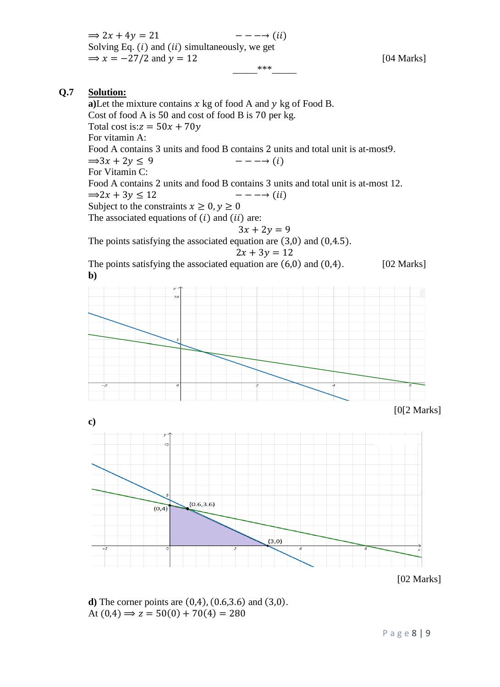$\Rightarrow$  2x + 4y = 21  $---(ii)$ Solving Eq.  $(i)$  and  $(ii)$  simultaneously, we get  $\Rightarrow$   $x = -27/2$  and  $y = 12$  [04 Marks]  $***$ 

#### **Q.7 Solution:**

a)Let the mixture contains  $x \text{ kg of food A and } y \text{ kg of Food B.}$ Cost of food A is  $50$  and cost of food B is  $70$  per kg. Total cost is: $z = 50x + 70y$ For vitamin A: Food A contains 3 units and food B contains 2 units and total unit is at-most 9.  $\Rightarrow 3x + 2y \leq 9$  $---(i)$ For Vitamin C: Food A contains 2 units and food B contains 3 units and total unit is at-most 12.  $\Rightarrow 2x + 3y \le 12$  $---(ii)$ Subject to the constraints  $x \ge 0, y \ge 0$ The associated equations of  $(i)$  and  $(ii)$  are:  $3x + 2y = 9$ The points satisfying the associated equation are  $(3,0)$  and  $(0,4.5)$ .  $2x + 3y = 12$ The points satisfying the associated equation are  $(6,0)$  and  $(0,4)$ . [02 Marks] **b)** [0[2 Marks] **c)**  $(0.6, 3.6)$  $(0, 4)$ 

 $(3,0)$ [02 Marks]

**d**) The corner points are  $(0,4)$ ,  $(0.6,3.6)$  and  $(3,0)$ . At  $(0,4) \Rightarrow z = 50(0) + 70(4) = 280$